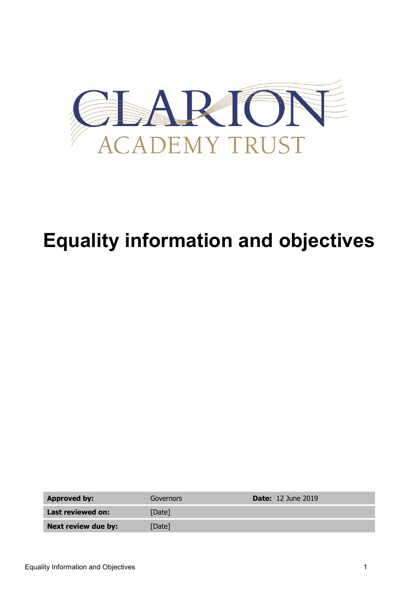

# **Equality information and objectives**

| <b>Approved by:</b> | Governors | <b>Date:</b> 12 June 2019 |
|---------------------|-----------|---------------------------|
| Last reviewed on:   | [Date]    |                           |
| Next review due by: | [Date]    |                           |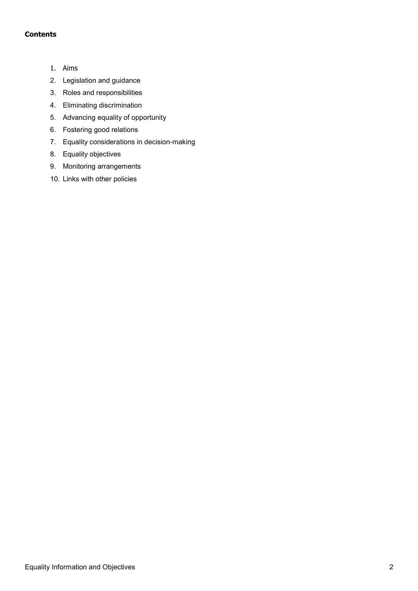## **Contents**

- 1. Aims
- 2. Legislation and guidance
- 3. Roles and responsibilities
- 4. Eliminating discrimination
- 5. Advancing equality of opportunity
- 6. Fostering good relations
- 7. Equality considerations in decision-making
- 8. Equality objectives
- 9. Monitoring arrangements
- 10. Links with other policies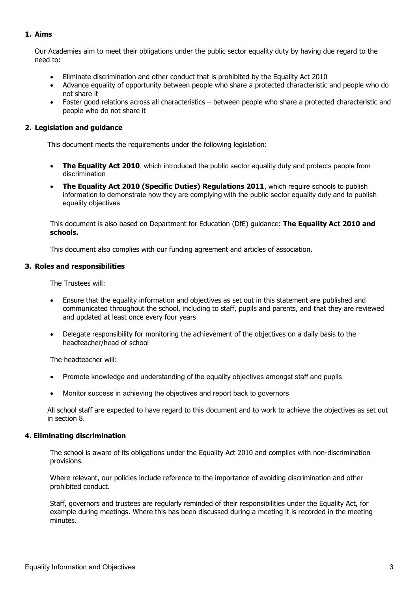# **1. Aims**

Our Academies aim to meet their obligations under the public sector equality duty by having due regard to the need to:

- Eliminate discrimination and other conduct that is prohibited by the Equality Act 2010
- Advance equality of opportunity between people who share a protected characteristic and people who do not share it
- Foster good relations across all characteristics between people who share a protected characteristic and people who do not share it

### **2. Legislation and guidance**

This document meets the requirements under the following legislation:

- **[The Equality Act 2010](http://www.legislation.gov.uk/ukpga/2010/15/contents)**, which introduced the public sector equality duty and protects people from discrimination
- **[The Equality Act 2010 \(Specific Duties\) Regulations 2011](http://www.legislation.gov.uk/uksi/2011/2260/contents/made)**, which require schools to publish information to demonstrate how they are complying with the public sector equality duty and to publish equality objectives

This document is also based on Department for Education (DfE) guidance: **[The Equality Act 2010 and](https://www.gov.uk/government/uploads/system/uploads/attachment_data/file/315587/Equality_Act_Advice_Final.pdf)  [schools.](https://www.gov.uk/government/uploads/system/uploads/attachment_data/file/315587/Equality_Act_Advice_Final.pdf)**

This document also complies with our funding agreement and articles of association.

#### **3. Roles and responsibilities**

The Trustees will:

- Ensure that the equality information and objectives as set out in this statement are published and communicated throughout the school, including to staff, pupils and parents, and that they are reviewed and updated at least once every four years
- Delegate responsibility for monitoring the achievement of the objectives on a daily basis to the headteacher/head of school

The headteacher will:

- Promote knowledge and understanding of the equality objectives amongst staff and pupils
- Monitor success in achieving the objectives and report back to governors

All school staff are expected to have regard to this document and to work to achieve the objectives as set out in section 8.

#### **4. Eliminating discrimination**

The school is aware of its obligations under the Equality Act 2010 and complies with non-discrimination provisions.

Where relevant, our policies include reference to the importance of avoiding discrimination and other prohibited conduct.

Staff, governors and trustees are regularly reminded of their responsibilities under the Equality Act, for example during meetings. Where this has been discussed during a meeting it is recorded in the meeting minutes.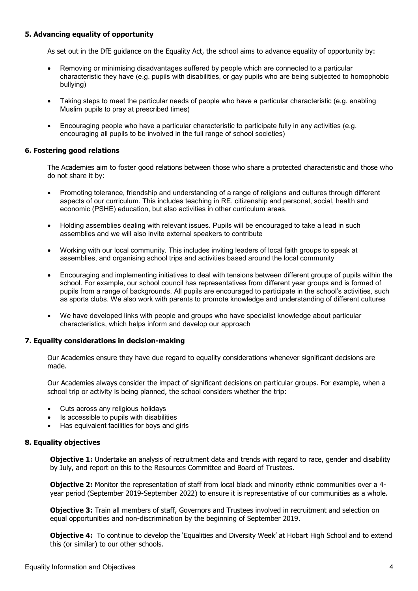## **5. Advancing equality of opportunity**

As set out in the DfE guidance on the Equality Act, the school aims to advance equality of opportunity by:

- Removing or minimising disadvantages suffered by people which are connected to a particular characteristic they have (e.g. pupils with disabilities, or gay pupils who are being subjected to homophobic bullying)
- Taking steps to meet the particular needs of people who have a particular characteristic (e.g. enabling Muslim pupils to pray at prescribed times)
- Encouraging people who have a particular characteristic to participate fully in any activities (e.g. encouraging all pupils to be involved in the full range of school societies)

### **6. Fostering good relations**

The Academies aim to foster good relations between those who share a protected characteristic and those who do not share it by:

- Promoting tolerance, friendship and understanding of a range of religions and cultures through different aspects of our curriculum. This includes teaching in RE, citizenship and personal, social, health and economic (PSHE) education, but also activities in other curriculum areas.
- Holding assemblies dealing with relevant issues. Pupils will be encouraged to take a lead in such assemblies and we will also invite external speakers to contribute
- Working with our local community. This includes inviting leaders of local faith groups to speak at assemblies, and organising school trips and activities based around the local community
- Encouraging and implementing initiatives to deal with tensions between different groups of pupils within the school. For example, our school council has representatives from different year groups and is formed of pupils from a range of backgrounds. All pupils are encouraged to participate in the school's activities, such as sports clubs. We also work with parents to promote knowledge and understanding of different cultures
- We have developed links with people and groups who have specialist knowledge about particular characteristics, which helps inform and develop our approach

#### **7. Equality considerations in decision-making**

Our Academies ensure they have due regard to equality considerations whenever significant decisions are made.

Our Academies always consider the impact of significant decisions on particular groups. For example, when a school trip or activity is being planned, the school considers whether the trip:

- Cuts across any religious holidays
- Is accessible to pupils with disabilities
- Has equivalent facilities for boys and girls

#### **8. Equality objectives**

**Objective 1:** Undertake an analysis of recruitment data and trends with regard to race, gender and disability by July, and report on this to the Resources Committee and Board of Trustees.

**Objective 2:** Monitor the representation of staff from local black and minority ethnic communities over a 4year period (September 2019-September 2022) to ensure it is representative of our communities as a whole.

**Objective 3:** Train all members of staff, Governors and Trustees involved in recruitment and selection on equal opportunities and non-discrimination by the beginning of September 2019.

**Objective 4:** To continue to develop the 'Equalities and Diversity Week' at Hobart High School and to extend this (or similar) to our other schools.